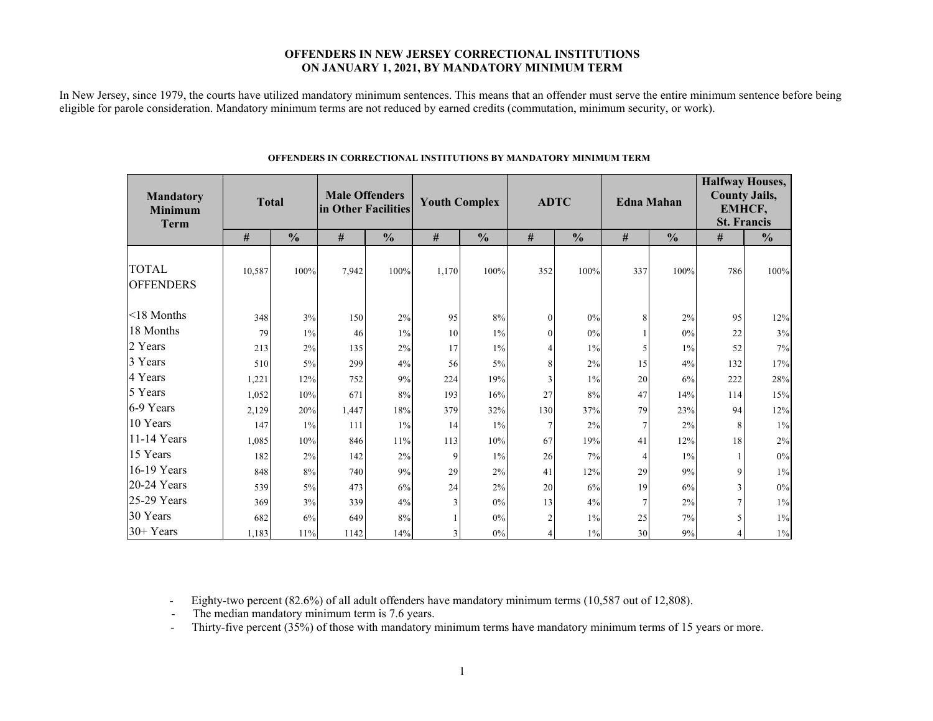### **OFFENDERS IN NEW JERSEY CORRECTIONAL INSTITUTIONS ON JANUARY 1, 2021, BY MANDATORY MINIMUM TERM**

In New Jersey, since 1979, the courts have utilized mandatory minimum sentences. This means that an offender must serve the entire minimum sentence before being eligible for parole consideration. Mandatory minimum terms are not reduced by earned credits (commutation, minimum security, or work).

| <b>Mandatory</b><br><b>Minimum</b><br><b>Term</b> | <b>Total</b> |               | <b>Male Offenders</b><br>in Other Facilities |               | <b>Youth Complex</b> |               | <b>ADTC</b>    |               | <b>Edna Mahan</b> |               | <b>Halfway Houses,</b><br><b>County Jails,</b><br>EMHCF,<br><b>St. Francis</b> |               |  |
|---------------------------------------------------|--------------|---------------|----------------------------------------------|---------------|----------------------|---------------|----------------|---------------|-------------------|---------------|--------------------------------------------------------------------------------|---------------|--|
|                                                   | $\#$         | $\frac{0}{0}$ | $\#$                                         | $\frac{0}{0}$ | $\#$                 | $\frac{0}{0}$ | $\#$           | $\frac{0}{0}$ | #                 | $\frac{0}{0}$ | #                                                                              | $\frac{0}{0}$ |  |
| <b>TOTAL</b><br><b>OFFENDERS</b>                  | 10,587       | 100%          | 7,942                                        | 100%          | 1,170                | 100%          | 352            | 100%          | 337               | 100%          | 786                                                                            | 100%          |  |
| $\leq$ 18 Months                                  | 348          | 3%            | 150                                          | 2%            | 95                   | 8%            | $\Omega$       | 0%            | 8                 | 2%            | 95                                                                             | 12%           |  |
| 18 Months                                         | 79           | $1\%$         | 46                                           | $1\%$         | 10                   | $1\%$         | $\theta$       | 0%            |                   | 0%            | 22                                                                             | 3%            |  |
| 2 Years                                           | 213          | 2%            | 135                                          | 2%            | 17                   | $1\%$         | $\overline{4}$ | 1%            | 5                 | $1\%$         | 52                                                                             | 7%            |  |
| 3 Years                                           | 510          | 5%            | 299                                          | 4%            | 56                   | 5%            | 8              | 2%            | 15                | 4%            | 132                                                                            | 17%           |  |
| 4 Years                                           | 1,221        | 12%           | 752                                          | 9%            | 224                  | 19%           | 3              | 1%            | 20                | 6%            | 222                                                                            | 28%           |  |
| 5 Years                                           | 1,052        | 10%           | 671                                          | 8%            | 193                  | 16%           | 27             | 8%            | 47                | 14%           | 114                                                                            | 15%           |  |
| 6-9 Years                                         | 2,129        | 20%           | 1,447                                        | 18%           | 379                  | 32%           | 130            | 37%           | 79                | 23%           | 94                                                                             | 12%           |  |
| 10 Years                                          | 147          | $1\%$         | 111                                          | $1\%$         | 14                   | 1%            | 7              | 2%            | $\overline{7}$    | 2%            | 8                                                                              | $1\%$         |  |
| 11-14 Years                                       | 1,085        | 10%           | 846                                          | 11%           | 113                  | 10%           | 67             | 19%           | 41                | 12%           | 18                                                                             | 2%            |  |
| 15 Years                                          | 182          | 2%            | 142                                          | 2%            | 9                    | $1\%$         | 26             | 7%            | 4                 | $1\%$         |                                                                                | $0\%$         |  |
| 16-19 Years                                       | 848          | 8%            | 740                                          | 9%            | 29                   | 2%            | 41             | 12%           | 29                | 9%            | 9                                                                              | $1\%$         |  |
| 20-24 Years                                       | 539          | 5%            | 473                                          | 6%            | 24                   | 2%            | 20             | 6%            | 19                | 6%            | $\mathcal{E}$                                                                  | $0\%$         |  |
| 25-29 Years                                       | 369          | 3%            | 339                                          | 4%            | $\mathcal{E}$        | $0\%$         | 13             | 4%            | $\overline{7}$    | 2%            |                                                                                | $1\%$         |  |
| 30 Years                                          | 682          | 6%            | 649                                          | 8%            |                      | 0%            | $\overline{2}$ | 1%            | 25                | 7%            |                                                                                | $1\%$         |  |
| 30+ Years                                         | 1.183        | 11%           | 1142                                         | 14%           |                      | 0%            | 4              | $1\%$         | 30                | 9%            |                                                                                | $1\%$         |  |

#### **OFFENDERS IN CORRECTIONAL INSTITUTIONS BY MANDATORY MINIMUM TERM**

- Eighty-two percent (82.6%) of all adult offenders have mandatory minimum terms (10,587 out of 12,808).

- The median mandatory minimum term is 7.6 years.

-Thirty-five percent (35%) of those with mandatory minimum terms have mandatory minimum terms of 15 years or more.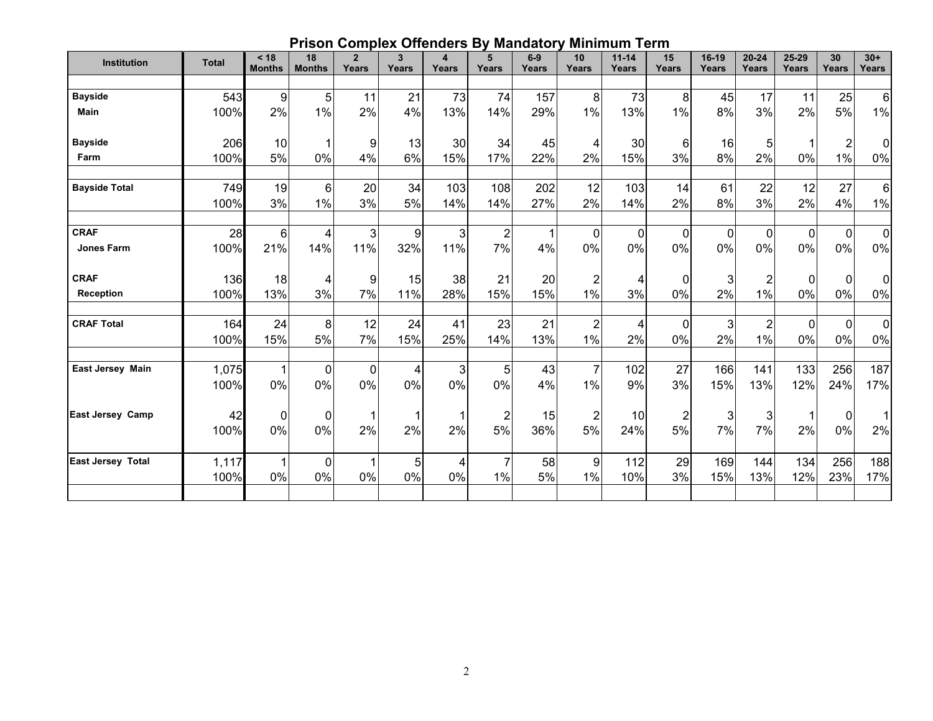# **Prison Complex Offenders By Mandatory Minimum Term**

| Institution              | <b>Total</b>  | < 18<br><b>Months</b> | 18<br><b>Months</b> | $\overline{2}$<br>Years | $\overline{\mathbf{3}}$ | 4          | 5<br>Years              | $6-9$<br><b>Years</b> | 10<br>Years             | $11 - 14$<br>Years | 15<br>Years                   | 16-19<br>Years | $20 - 24$<br>Years   | 25-29             | 30<br>Years          | $30+$<br>Years       |
|--------------------------|---------------|-----------------------|---------------------|-------------------------|-------------------------|------------|-------------------------|-----------------------|-------------------------|--------------------|-------------------------------|----------------|----------------------|-------------------|----------------------|----------------------|
|                          |               |                       |                     |                         | <b>Years</b>            | Years      |                         |                       |                         |                    |                               |                |                      | Years             |                      |                      |
| <b>Bayside</b>           | 543           | $\boldsymbol{9}$      | 5                   | 11                      | 21                      | 73         | 74                      | 157                   | 8                       | 73                 | 8                             | 45             | 17                   | 11                | 25                   | $6\phantom{1}$       |
| <b>Main</b>              | 100%          | 2%                    | 1%                  | 2%                      | 4%                      | 13%        | 14%                     | 29%                   | 1%                      | 13%                | 1%                            | 8%             | 3%                   | 2%                | 5%                   | $1\%$                |
| <b>Bayside</b>           | 206           | 10                    |                     | 9                       | 13                      | 30         | 34                      | 45                    | 4                       | 30 <sub>0</sub>    | 6                             | 16             | 5                    |                   | $\overline{2}$       | 0                    |
| Farm                     | 100%          | 5%                    | 0%                  | 4%                      | 6%                      | 15%        | 17%                     | 22%                   | 2%                      | 15%                | 3%                            | 8%             | 2%                   | 0%                | $1\%$                | 0%                   |
| <b>Bayside Total</b>     | 749<br>100%   | 19<br>3%              | 6<br>1%             | 20<br>3%                | 34<br>5%                | 103<br>14% | 108<br>14%              | 202<br>27%            | 12<br>2%                | 103<br>14%         | 14<br>2%                      | 61<br>8%       | 22<br>3%             | 12<br>2%          | 27<br>4%             | $6\phantom{1}$<br>1% |
| <b>CRAF</b>              | 28            | $6\phantom{a}$        | 4                   | $\overline{3}$          | 9                       | 3          | 2                       |                       | 0                       | $\overline{0}$     | 0                             | $\mathbf 0$    | $\mathbf{0}$         | $\mathbf 0$       | $\mathbf 0$          | $\mathbf 0$          |
| <b>Jones Farm</b>        | 100%          | 21%                   | 14%                 | 11%                     | 32%                     | 11%        | 7%                      | 4%                    | 0%                      | 0%                 | $0\%$                         | 0%             | 0%                   | 0%                | 0%                   | $0\%$                |
| <b>CRAF</b>              | 136           | 18                    | 4                   | $\overline{9}$          | 15                      | 38         | 21                      | 20                    | $\overline{2}$          | 4                  | 0                             | 3              | $\overline{2}$       | $\mathbf 0$       | $\mathbf 0$          | $\mathbf 0$          |
| <b>Reception</b>         | 100%          | 13%                   | 3%                  | 7%                      | 11%                     | 28%        | 15%                     | 15%                   | 1%                      | 3%                 | 0%                            | 2%             | 1%                   | 0%                | 0%                   | 0%                   |
| <b>CRAF Total</b>        | 164<br>100%   | 24<br>15%             | 8<br>5%             | 12<br>7%                | 24<br>15%               | 41<br>25%  | 23<br>14%               | 21<br>13%             | $\overline{2}$<br>$1\%$ | 4<br>2%            | 0<br>0%                       | 3<br>2%        | $\overline{2}$<br>1% | $\mathbf 0$<br>0% | $\Omega$<br>0%       | $\mathbf 0$<br>0%    |
| <b>East Jersey Main</b>  | 1,075<br>100% | 1<br>0%               | 0<br>0%             | $\Omega$<br>0%          | 4<br>0%                 | 3<br>0%    | 5 <sub>1</sub><br>$0\%$ | 43<br>4%              | $\overline{7}$<br>$1\%$ | 102<br>9%          | 27<br>3%                      | 166<br>15%     | 141<br>13%           | 133<br>12%        | 256<br>24%           | 187<br>17%           |
| <b>East Jersey Camp</b>  | 42<br>100%    | 0<br>0%               | 0<br>0%             | 2%                      | 2%                      | 2%         | 2<br>5%                 | 15<br>36%             | $\overline{2}$<br>5%    | 10<br>24%          | $\overline{\mathbf{c}}$<br>5% | 3<br>7%        | 3<br>7%              | 2%                | $\mathbf 0$<br>$0\%$ | 1<br>2%              |
| <b>East Jersey Total</b> | 1,117<br>100% | 1<br>0%               | $\mathbf 0$<br>0%   | 0%                      | 5<br>0%                 | 4<br>0%    | 1%                      | 58<br>5%              | 9<br>$1\%$              | 112<br>10%         | 29<br>3%                      | 169<br>15%     | 144<br>13%           | 134<br>12%        | 256<br>23%           | 188<br>17%           |
|                          |               |                       |                     |                         |                         |            |                         |                       |                         |                    |                               |                |                      |                   |                      |                      |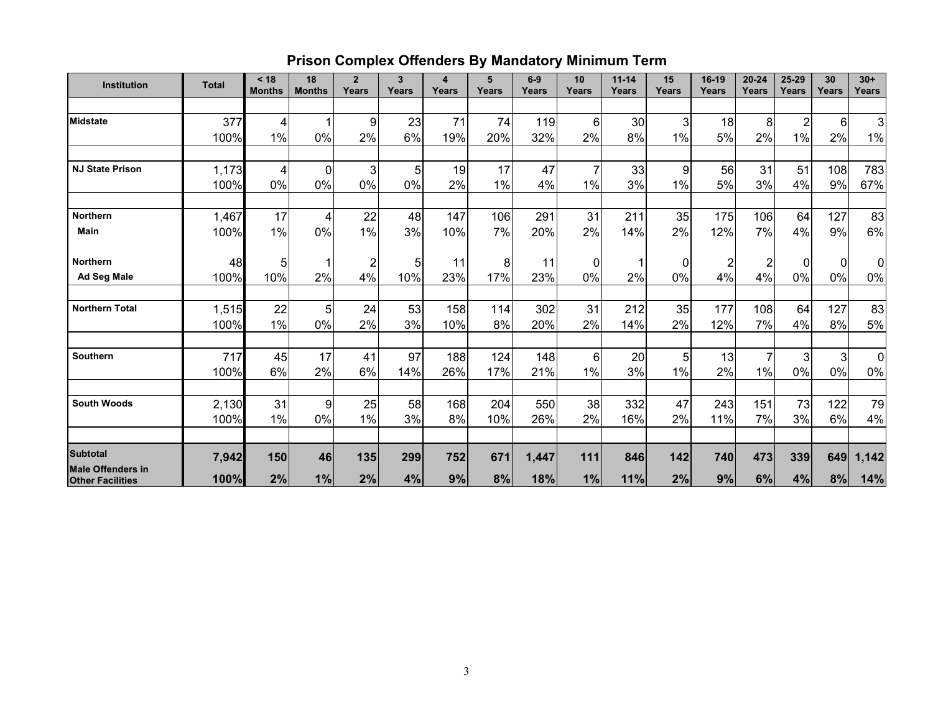# **Prison Complex Offenders By Mandatory Minimum Term**

| Institution                                         | <b>Total</b> | < 18<br><b>Months</b> | 18<br><b>Months</b> | $\overline{2}$<br>Years | $\mathbf{3}$<br>Years | $\overline{\mathbf{4}}$<br>Years | 5<br>Years | $6-9$<br>Years | 10<br>Years     | $11 - 14$<br>Years | 15<br>Years      | 16-19<br>Years          | $20 - 24$<br>Years | 25-29<br>Years | 30<br>Years    | $30+$<br>Years |
|-----------------------------------------------------|--------------|-----------------------|---------------------|-------------------------|-----------------------|----------------------------------|------------|----------------|-----------------|--------------------|------------------|-------------------------|--------------------|----------------|----------------|----------------|
|                                                     |              |                       |                     |                         |                       |                                  |            |                |                 |                    |                  |                         |                    |                |                |                |
| <b>Midstate</b>                                     | 377          | 4                     |                     | 9                       | 23                    | 71                               | 74         | 119            | 6               | 30                 | 3                | 18                      | 8                  | $\overline{2}$ | 6              | $\overline{3}$ |
|                                                     | 100%         | 1%                    | 0%                  | 2%                      | 6%                    | 19%                              | 20%        | 32%            | 2%              | 8%                 | 1%               | 5%                      | 2%                 | 1%             | 2%             | $1\%$          |
| <b>NJ State Prison</b>                              | 1,173        | 4                     | $\mathbf 0$         | 3                       | 5                     | 19                               | 17         | 47             | $\overline{7}$  | 33                 | $\boldsymbol{9}$ | 56                      | 31                 | 51             | 108            | 783            |
|                                                     | 100%         | 0%                    | 0%                  | 0%                      | 0%                    | 2%                               | 1%         | 4%             | 1%              | 3%                 | 1%               | 5%                      | 3%                 | 4%             | 9%             | 67%            |
|                                                     |              |                       |                     |                         |                       |                                  |            |                |                 |                    |                  |                         |                    |                |                |                |
| <b>Northern</b>                                     | 1,467        | 17                    | 4                   | 22                      | 48                    | 147                              | 106        | 291            | 31              | 211                | 35               | 175                     | 106                | 64             | 127            | 83             |
| Main                                                | 100%         | 1%                    | 0%                  | 1%                      | 3%                    | 10%                              | 7%         | 20%            | 2%              | 14%                | 2%               | 12%                     | 7%                 | 4%             | 9%             | 6%             |
| <b>Northern</b>                                     | 48           | 5                     |                     | 2                       | 5                     | 11                               | 8          | 11             | $\mathbf 0$     |                    | 0                | $\overline{\mathbf{c}}$ | $\overline{2}$     | $\overline{0}$ | $\overline{0}$ | $\overline{0}$ |
| <b>Ad Seg Male</b>                                  | 100%         | 10%                   | 2%                  | 4%                      | 10%                   | 23%                              | 17%        | 23%            | 0%              | 2%                 | 0%               | 4%                      | 4%                 | 0%             | 0%             | 0%             |
| <b>Northern Total</b>                               | 1,515        | 22                    | 5                   | 24                      | 53                    | 158                              | 114        | 302            | 31              | 212                | 35               | 177                     | 108                | 64             | 127            | 83             |
|                                                     | 100%         | 1%                    | 0%                  | 2%                      | 3%                    | 10%                              | 8%         | 20%            | 2%              | 14%                | 2%               | 12%                     | 7%                 | 4%             | 8%             | $5%$           |
| Southern                                            | 717          | 45                    | 17                  | 41                      | 97                    | 188                              | 124        | 148            | $6\phantom{1}6$ | 20                 | 5 <sub>5</sub>   | 13                      | 7                  | 3 <sup>1</sup> | $\mathbf{3}$   | $\overline{0}$ |
|                                                     | 100%         | 6%                    | 2%                  | 6%                      | 14%                   | 26%                              | 17%        | 21%            | $1\%$           | 3%                 | $1\%$            | 2%                      | 1%                 | 0%             | 0%             | 0%             |
|                                                     |              |                       |                     |                         |                       |                                  |            |                |                 |                    |                  |                         |                    |                |                |                |
| <b>South Woods</b>                                  | 2,130        | 31                    | 9                   | 25                      | 58                    | 168                              | 204        | 550            | 38              | 332                | 47               | 243                     | 151                | 73             | 122            | 79             |
|                                                     | 100%         | 1%                    | 0%                  | 1%                      | 3%                    | 8%                               | 10%        | 26%            | 2%              | 16%                | 2%               | 11%                     | 7%                 | 3%             | 6%             | 4%             |
| <b>Subtotal</b>                                     | 7,942        | 150                   | 46                  | 135                     | 299                   | 752                              | 671        | 1,447          | 111             | 846                | 142              | 740                     | 473                | 339            | 649            | 1,142          |
| <b>Male Offenders in</b><br><b>Other Facilities</b> | 100%         | 2%                    | 1%                  | 2%                      | 4%                    | 9%                               | 8%         | 18%            | 1%              | 11%                | 2%               | 9%                      | 6%                 | 4%             | 8%             | 14%            |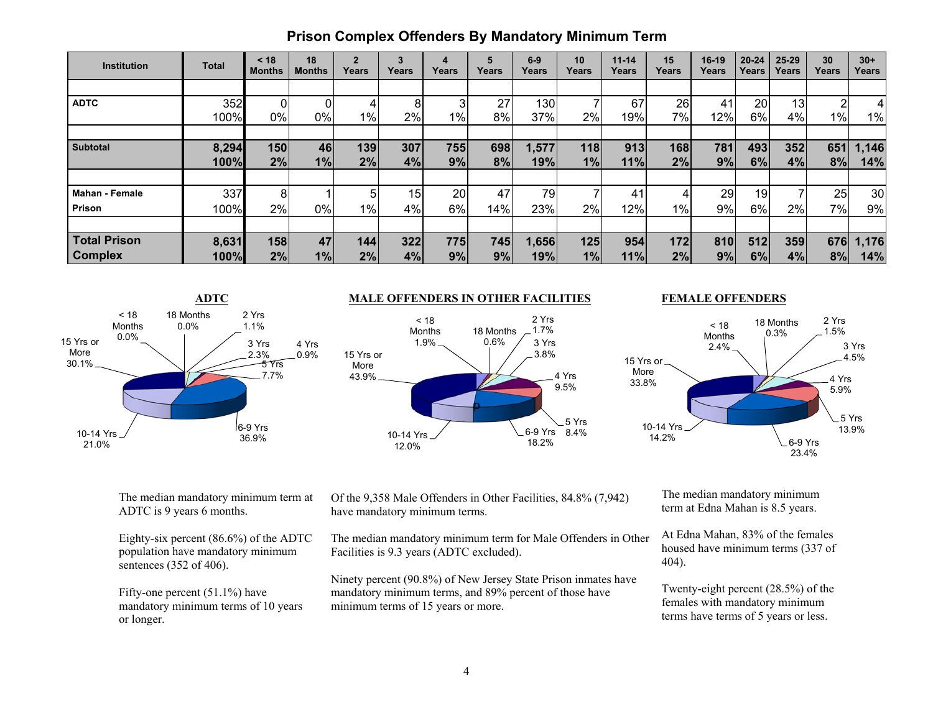| <b>Institution</b>    | Total | < 18<br><b>Months</b> | 18<br><b>Months</b> | $\overline{2}$<br>Years | 3<br>Years      | 4<br>Years | 5<br>Years | $6-9$<br>Years | 10<br>Years | $11 - 14$<br>Years | 15<br>Years | $16-19$<br>Years | $20 - 24$<br>Years | $25 - 29$<br>Years | 30<br>Years | $30+$<br>Years  |
|-----------------------|-------|-----------------------|---------------------|-------------------------|-----------------|------------|------------|----------------|-------------|--------------------|-------------|------------------|--------------------|--------------------|-------------|-----------------|
|                       |       |                       |                     |                         |                 |            |            |                |             |                    |             |                  |                    |                    |             |                 |
| <b>ADTC</b>           | 352   |                       |                     |                         | 8               | 3          | 27         | 130            |             | 67                 | 26          | 41               | 20                 | 13                 | C           | 4               |
|                       | 100%  | 0%                    | 0%                  | 1%                      | 2%              | $1\%$      | 8%         | 37%            | $2\%$       | 19%                | 7%          | 12%              | 6%                 | 4%                 | $1\%$       | 1%              |
|                       |       |                       |                     |                         |                 |            |            |                |             |                    |             |                  |                    |                    |             |                 |
| <b>Subtotal</b>       | 8,294 | 150                   | 46                  | 139                     | 307             | 755        | 698        | 1,577          | 118         | 913                | 168         | 781              | 493                | 352                | 651         | 1,146           |
|                       | 100%  | 2%                    | 1%                  | 2%                      | 4%              | 9%         | 8%         | 19%            | 1%          | 11%                | 2%          | 9%               | 6%                 | 4%                 | 8%          | 14%             |
|                       |       |                       |                     |                         |                 |            |            |                |             |                    |             |                  |                    |                    |             |                 |
| <b>Mahan - Female</b> | 337   | 8                     |                     | 5                       | 15 <sub>1</sub> | 20         | 47         | 79             |             | 41                 | 4           | 29               | 19                 |                    | 25          | 30 <sub>l</sub> |
| Prison                | 100%  | 2%                    | 0%                  | 1%                      | 4%              | 6%         | 14%        | 23%            | 2%          | 12%                | $1\%$       | 9%               | 6%                 | 2%                 | 7%          | 9%              |
|                       |       |                       |                     |                         |                 |            |            |                |             |                    |             |                  |                    |                    |             |                 |
| <b>Total Prison</b>   | 8,631 | 158                   | 47                  | 144                     | 322             | 775        | 745        | 1,656          | 125         | 954                | 172         | 810              | 512                | 359                | 676         | 1,176           |
| <b>Complex</b>        | 100%  | 2%                    | 1%                  | 2%                      | 4%              | 9%         | 9%         | 19%l           | 1%          | 11%                | 2%          | 9%               | 6%                 | 4%                 | 8%          | 14%             |



#### **ADTC MALE OFFENDERS IN OTHER FACILITIES**



#### **FEMALE OFFENDERS**



The median mandatory minimum term at ADTC is 9 years 6 months.

Eighty-six percent (86.6%) of the ADTC population have mandatory minimum sentences (352 of 406).

Fifty-one percent (51.1%) have mandatory minimum terms of 10 years or longer.

Of the 9,358 Male Offenders in Other Facilities, 84.8% (7,942) have mandatory minimum terms.

The median mandatory minimum term for Male Offenders in Other Facilities is 9.3 years (ADTC excluded).

Ninety percent (90.8%) of New Jersey State Prison inmates have mandatory minimum terms, and 89% percent of those have minimum terms of 15 years or more.

The median mandatory minimum term at Edna Mahan is 8.5 years.

At Edna Mahan, 83% of the females housed have minimum terms (337 of 404).

Twenty-eight percent (28.5%) of the females with mandatory minimum terms have terms of 5 years or less.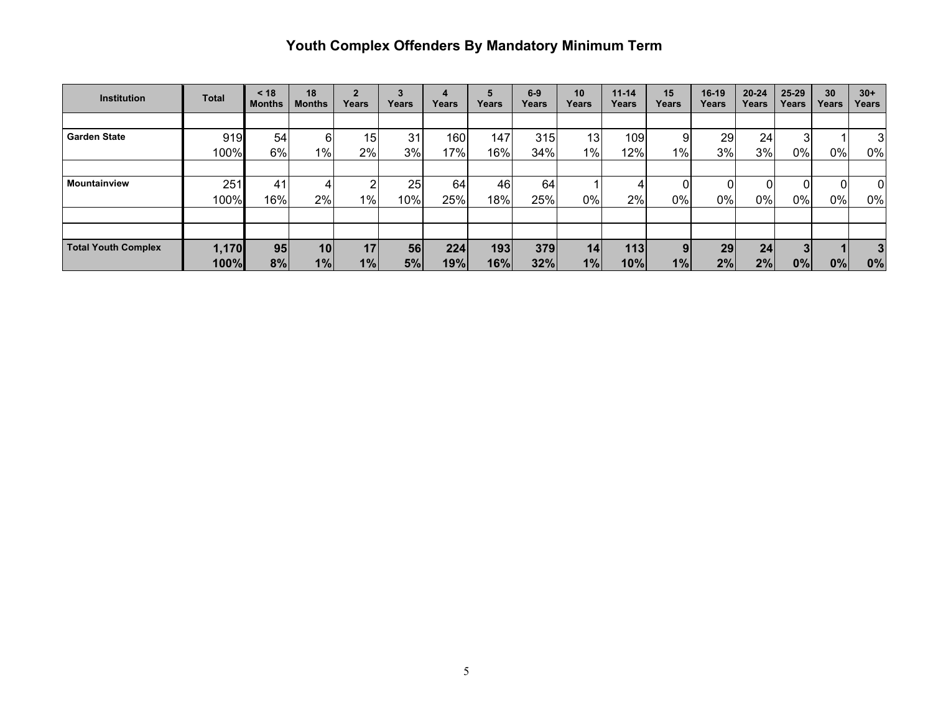# **Youth Complex Offenders By Mandatory Minimum Term**

| <b>Institution</b>         | <b>Total</b> | $<$ 18<br><b>Months</b> | 18<br><b>Months</b> | Years | Years | Years | Years            | $6-9$<br>Years | 10<br>Years | $11 - 14$<br>Years | 15<br>Years    | $16-19$<br>Years | $20 - 24$<br>Years | $25 - 29$<br>Years | 30<br>Years | $30+$<br>Years |
|----------------------------|--------------|-------------------------|---------------------|-------|-------|-------|------------------|----------------|-------------|--------------------|----------------|------------------|--------------------|--------------------|-------------|----------------|
|                            |              |                         |                     |       |       |       |                  |                |             |                    |                |                  |                    |                    |             |                |
| <b>Garden State</b>        | 919          | 54                      | 6                   | 15    | 31    | 160   | 147 <sub>1</sub> | 315            | 13          | 109                | 9              | 29               | 24                 | 3                  |             | 3              |
|                            | 100%         | 6%                      | 1%                  | 2%    | 3%    | 17%   | 16%              | 34%            | $1\%$       | 12%                | $1\%$          | 3%               | 3%                 | $0\%$              | 0%          | 0%             |
|                            |              |                         |                     |       |       |       |                  |                |             |                    |                |                  |                    |                    |             |                |
| Mountainview               | 251          | 41                      |                     | ົ     | 25    | 64    | 46               | 64             |             | 4                  |                |                  |                    | 0                  |             | $\overline{0}$ |
|                            | 100%         | 16%                     | 2%                  | $1\%$ | 10%   | 25%   | 18%              | 25%            | 0%          | 2%                 | 0%             | 0%               | 0%                 | 0%                 | 0%          | 0%             |
|                            |              |                         |                     |       |       |       |                  |                |             |                    |                |                  |                    |                    |             |                |
|                            |              |                         |                     |       |       |       |                  |                |             |                    |                |                  |                    |                    |             |                |
| <b>Total Youth Complex</b> | 1,170        | 95                      | 10                  | 17    | 56    | 224   | 193              | 379            | 14          | 113                | 9 <sub>l</sub> | 29               | 24                 | 3 <sup>1</sup>     |             |                |
|                            | 100%         | 8%                      | 1%                  | 1%    | 5%    | 19%   | 16%              | 32%            | 1%          | 10%                | 1%             | 2%               | 2%                 | 0%                 | 0%          | 0%             |